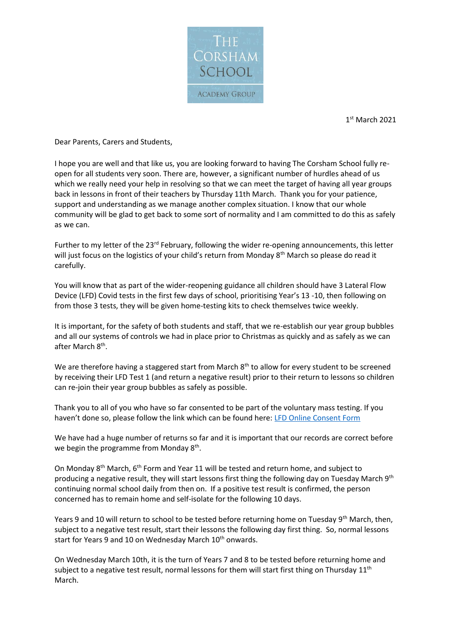

1 st March 2021

Dear Parents, Carers and Students,

I hope you are well and that like us, you are looking forward to having The Corsham School fully reopen for all students very soon. There are, however, a significant number of hurdles ahead of us which we really need your help in resolving so that we can meet the target of having all year groups back in lessons in front of their teachers by Thursday 11th March. Thank you for your patience, support and understanding as we manage another complex situation. I know that our whole community will be glad to get back to some sort of normality and I am committed to do this as safely as we can.

Further to my letter of the 23<sup>rd</sup> February, following the wider re-opening announcements, this letter will just focus on the logistics of your child's return from Monday 8<sup>th</sup> March so please do read it carefully.

You will know that as part of the wider-reopening guidance all children should have 3 Lateral Flow Device (LFD) Covid tests in the first few days of school, prioritising Year's 13 -10, then following on from those 3 tests, they will be given home-testing kits to check themselves twice weekly.

It is important, for the safety of both students and staff, that we re-establish our year group bubbles and all our systems of controls we had in place prior to Christmas as quickly and as safely as we can after March 8<sup>th</sup>.

We are therefore having a staggered start from March 8<sup>th</sup> to allow for every student to be screened by receiving their LFD Test 1 (and return a negative result) prior to their return to lessons so children can re-join their year group bubbles as safely as possible.

Thank you to all of you who have so far consented to be part of the voluntary mass testing. If you haven't done so, please follow the link which can be found here: [LFD Online Consent Form](https://forms.office.com/Pages/ResponsePage.aspx?id=lkgtroUnF0KgrlcqzzWX-bFrq8sKPDVDjoqitwJuZgNUMkFVVklRRjVZQUZWU0w5TEM3WjNFTk9USS4u) 

We have had a huge number of returns so far and it is important that our records are correct before we begin the programme from Monday 8<sup>th</sup>.

On Monday 8<sup>th</sup> March, 6<sup>th</sup> Form and Year 11 will be tested and return home, and subject to producing a negative result, they will start lessons first thing the following day on Tuesday March 9<sup>th</sup> continuing normal school daily from then on. If a positive test result is confirmed, the person concerned has to remain home and self-isolate for the following 10 days.

Years 9 and 10 will return to school to be tested before returning home on Tuesday 9<sup>th</sup> March, then, subject to a negative test result, start their lessons the following day first thing. So, normal lessons start for Years 9 and 10 on Wednesday March 10<sup>th</sup> onwards.

On Wednesday March 10th, it is the turn of Years 7 and 8 to be tested before returning home and subject to a negative test result, normal lessons for them will start first thing on Thursday  $11<sup>th</sup>$ March.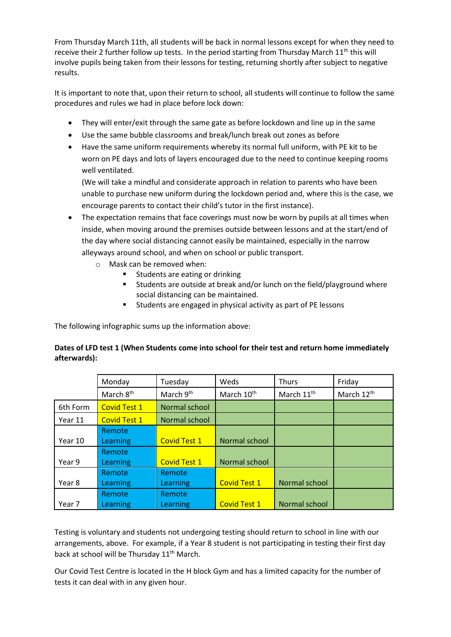From Thursday March 11th, all students will be back in normal lessons except for when they need to receive their 2 further follow up tests. In the period starting from Thursday March  $11<sup>th</sup>$  this will involve pupils being taken from their lessons for testing, returning shortly after subject to negative results.

It is important to note that, upon their return to school, all students will continue to follow the same procedures and rules we had in place before lock down:

- They will enter/exit through the same gate as before lockdown and line up in the same
- Use the same bubble classrooms and break/lunch break out zones as before
- Have the same uniform requirements whereby its normal full uniform, with PE kit to be worn on PE days and lots of layers encouraged due to the need to continue keeping rooms well ventilated.

(We will take a mindful and considerate approach in relation to parents who have been unable to purchase new uniform during the lockdown period and, where this is the case, we encourage parents to contact their child's tutor in the first instance).

- The expectation remains that face coverings must now be worn by pupils at all times when inside, when moving around the premises outside between lessons and at the start/end of the day where social distancing cannot easily be maintained, especially in the narrow alleyways around school, and when on school or public transport.
	- o Mask can be removed when:
		- Students are eating or drinking
		- Students are outside at break and/or lunch on the field/playground where social distancing can be maintained.
		- Students are engaged in physical activity as part of PE lessons

The following infographic sums up the information above:

## **Dates of LFD test 1 (When Students come into school for their test and return home immediately afterwards):**

|          | Monday                | Tuesday             | Weds                   | <b>Thurs</b>           | Friday                 |
|----------|-----------------------|---------------------|------------------------|------------------------|------------------------|
|          | March 8 <sup>th</sup> | March 9th           | March 10 <sup>th</sup> | March 11 <sup>th</sup> | March 12 <sup>th</sup> |
| 6th Form | <b>Covid Test 1</b>   | Normal school       |                        |                        |                        |
| Year 11  | <b>Covid Test 1</b>   | Normal school       |                        |                        |                        |
|          | Remote                |                     |                        |                        |                        |
| Year 10  | Learning              | <b>Covid Test 1</b> | Normal school          |                        |                        |
|          | Remote                |                     |                        |                        |                        |
| Year 9   | Learning              | <b>Covid Test 1</b> | Normal school          |                        |                        |
|          | Remote                | Remote              |                        |                        |                        |
| Year 8   | Learning              | Learning            | <b>Covid Test 1</b>    | Normal school          |                        |
|          | Remote                | Remote              |                        |                        |                        |
| Year 7   | Learning              | Learning            | <b>Covid Test 1</b>    | Normal school          |                        |

Testing is voluntary and students not undergoing testing should return to school in line with our arrangements, above. For example, if a Year 8 student is not participating in testing their first day back at school will be Thursday 11<sup>th</sup> March.

Our Covid Test Centre is located in the H block Gym and has a limited capacity for the number of tests it can deal with in any given hour.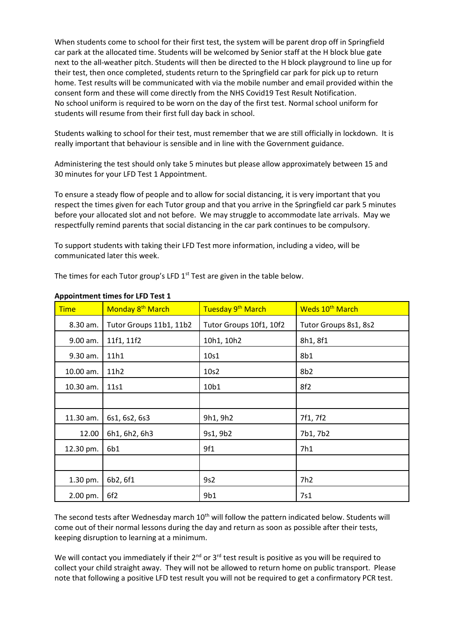When students come to school for their first test, the system will be parent drop off in Springfield car park at the allocated time. Students will be welcomed by Senior staff at the H block blue gate next to the all-weather pitch. Students will then be directed to the H block playground to line up for their test, then once completed, students return to the Springfield car park for pick up to return home. Test results will be communicated with via the mobile number and email provided within the consent form and these will come directly from the NHS Covid19 Test Result Notification. No school uniform is required to be worn on the day of the first test. Normal school uniform for students will resume from their first full day back in school.

Students walking to school for their test, must remember that we are still officially in lockdown. It is really important that behaviour is sensible and in line with the Government guidance.

Administering the test should only take 5 minutes but please allow approximately between 15 and 30 minutes for your LFD Test 1 Appointment.

To ensure a steady flow of people and to allow for social distancing, it is very important that you respect the times given for each Tutor group and that you arrive in the Springfield car park 5 minutes before your allocated slot and not before. We may struggle to accommodate late arrivals. May we respectfully remind parents that social distancing in the car park continues to be compulsory.

To support students with taking their LFD Test more information, including a video, will be communicated later this week.

The times for each Tutor group's LFD 1<sup>st</sup> Test are given in the table below.

| <b>Time</b> | Monday 8 <sup>th</sup> March | Tuesday 9 <sup>th</sup> March | Weds 10 <sup>th</sup> March |  |
|-------------|------------------------------|-------------------------------|-----------------------------|--|
| 8.30 am.    | Tutor Groups 11b1, 11b2      | Tutor Groups 10f1, 10f2       | Tutor Groups 8s1, 8s2       |  |
| 9.00 am.    | 11f1, 11f2                   | 10h1, 10h2                    | 8h1, 8f1                    |  |
| 9.30 am.    | 11h1                         | 10s1                          | 8b1                         |  |
| 10.00 am.   | 11h2                         | 10s2                          | 8 <sub>b2</sub>             |  |
| 10.30 am.   | 11s1                         | 10b1                          | 8f2                         |  |
|             |                              |                               |                             |  |
| 11.30 am.   | 6s1, 6s2, 6s3                | 9h1, 9h2                      | 7f1, 7f2                    |  |
| 12.00       | 6h1, 6h2, 6h3                | 9s1, 9b2                      | 7b1, 7b2                    |  |
| 12.30 pm.   | 6b1                          | 9f1                           | 7h1                         |  |
|             |                              |                               |                             |  |
| 1.30 pm.    | 6b2, 6f1                     | 9s2                           |                             |  |
| 2.00 pm.    | 6f <sub>2</sub>              | 9b1                           | 7s1                         |  |

## **Appointment times for LFD Test 1**

The second tests after Wednesday march 10<sup>th</sup> will follow the pattern indicated below. Students will come out of their normal lessons during the day and return as soon as possible after their tests, keeping disruption to learning at a minimum.

We will contact you immediately if their 2<sup>nd</sup> or 3<sup>rd</sup> test result is positive as you will be required to collect your child straight away. They will not be allowed to return home on public transport. Please note that following a positive LFD test result you will not be required to get a confirmatory PCR test.